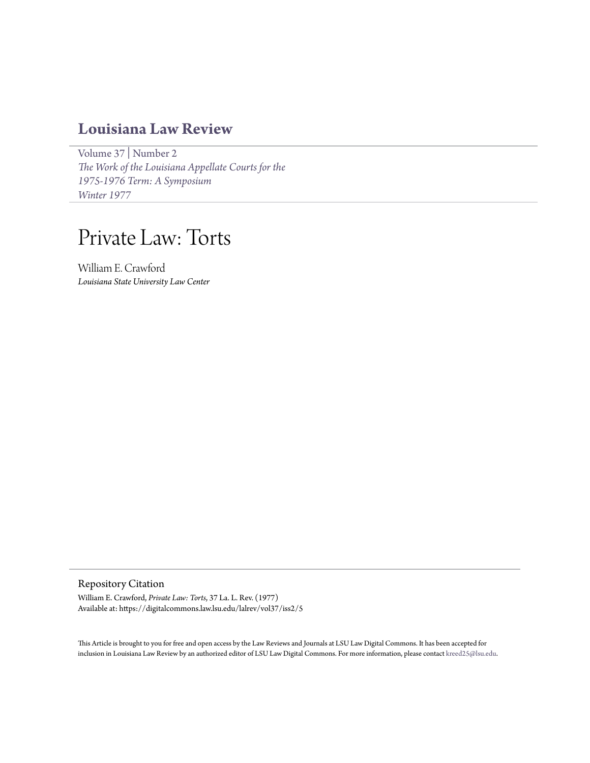## **[Louisiana Law Review](https://digitalcommons.law.lsu.edu/lalrev)**

[Volume 37](https://digitalcommons.law.lsu.edu/lalrev/vol37) | [Number 2](https://digitalcommons.law.lsu.edu/lalrev/vol37/iss2) *[The Work of the Louisiana Appellate Courts for the](https://digitalcommons.law.lsu.edu/lalrev/vol37/iss2) [1975-1976 Term: A Symposium](https://digitalcommons.law.lsu.edu/lalrev/vol37/iss2) [Winter 1977](https://digitalcommons.law.lsu.edu/lalrev/vol37/iss2)*

# Private Law: Torts

William E. Crawford *Louisiana State University Law Center*

Repository Citation

William E. Crawford, *Private Law: Torts*, 37 La. L. Rev. (1977) Available at: https://digitalcommons.law.lsu.edu/lalrev/vol37/iss2/5

This Article is brought to you for free and open access by the Law Reviews and Journals at LSU Law Digital Commons. It has been accepted for inclusion in Louisiana Law Review by an authorized editor of LSU Law Digital Commons. For more information, please contact [kreed25@lsu.edu](mailto:kreed25@lsu.edu).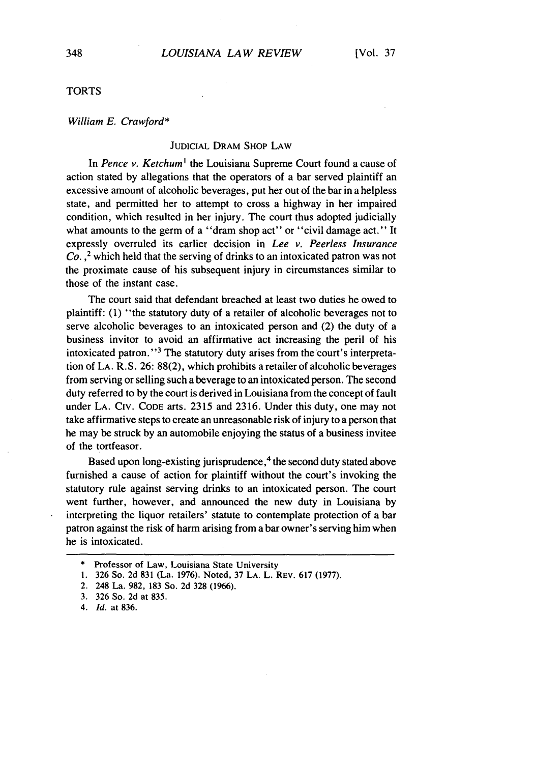#### TORTS

#### *William E. Crawford\**

#### JUDICIAL DRAM SHOP LAW

In *Pence v. Ketchum'* the Louisiana Supreme Court found a cause of action stated by allegations that the operators of a bar served plaintiff an excessive amount of alcoholic beverages, put her out of the bar in a helpless state, and permitted her to attempt to cross a highway in her impaired condition, which resulted in her injury. The court thus adopted judicially what amounts to the germ of a "dram shop act" or "civil damage act." It expressly overruled its earlier decision in *Lee v. Peerless Insurance Co.* 2 which held that the serving of drinks to an intoxicated patron was not the proximate cause of his subsequent injury in circumstances similar to those of the instant case.

The court said that defendant breached at least two duties he owed to plaintiff: (1) "the statutory duty of a retailer of alcoholic beverages not to serve alcoholic beverages to an intoxicated person and (2) the duty of a business invitor to avoid an affirmative act increasing the peril of his intoxicated patron."<sup>3</sup> The statutory duty arises from the court's interpretation of LA. R.S. 26: 88(2), which prohibits a retailer of alcoholic beverages from serving or selling such a beverage to an intoxicated person. The second duty referred to by the court is derived in Louisiana from the concept of fault under LA. CIv. CODE arts. 2315 and 2316. Under this duty, one may not take affirmative steps to create an unreasonable risk of injury to a person that he may be struck by an automobile enjoying the status of a business invitee of the tortfeasor.

Based upon long-existing jurisprudence,<sup>4</sup> the second duty stated above furnished a cause of action for plaintiff without the court's invoking the statutory rule against serving drinks to an intoxicated person. The court went further, however, and announced the new duty in Louisiana by interpreting the liquor retailers' statute to contemplate protection of a bar patron against the risk of harm arising from a bar owner's serving him when he is intoxicated.

<sup>\*</sup> Professor of Law, Louisiana State University

**<sup>1.</sup>** 326 So. 2d 831 (La. 1976). Noted, 37 LA. L. REV. 617 (1977).

<sup>2. 248</sup> La. 982, 183 So. 2d 328 (1966).

<sup>3. 326</sup> So. 2d at 835.

*<sup>4.</sup> Id.* at 836.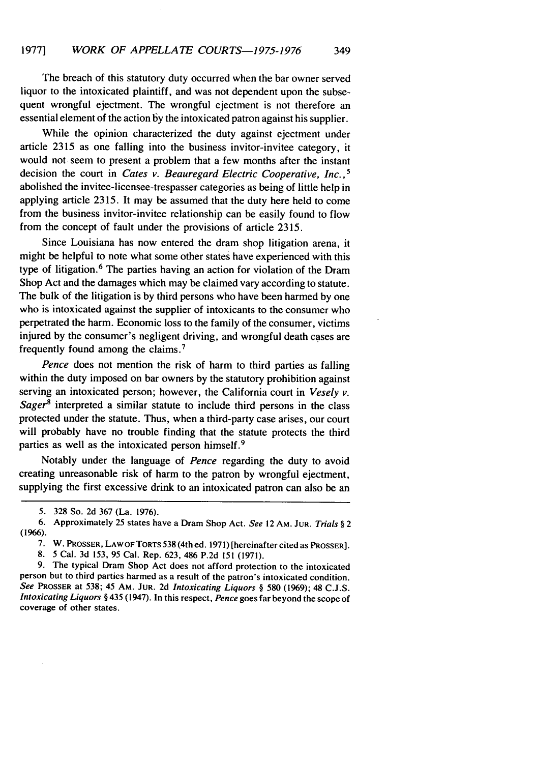The breach of this statutory duty occurred when the bar owner served liquor to the intoxicated plaintiff, and was not dependent upon the subsequent wrongful ejectment. The wrongful ejectment is not therefore an essential element of the action **by** the intoxicated patron against his supplier.

While the opinion characterized the duty against ejectment under article 2315 as one falling into the business invitor-invitee category, it would not seem to present a problem that a few months after the instant decision the court in *Cates v. Beauregard Electric Cooperative, Inc.*,<sup>5</sup> abolished the invitee-licensee-trespasser categories as being of little help in applying article 2315. It may be assumed that the duty here held to come from the business invitor-invitee relationship can be easily found to flow from the concept of fault under the provisions of article 2315.

Since Louisiana has now entered the dram shop litigation arena, it might be helpful to note what some other states have experienced with this type of litigation.<sup>6</sup> The parties having an action for violation of the Dram Shop Act and the damages which may be claimed vary according to statute. The bulk of the litigation is by third persons who have been harmed by one who is intoxicated against the supplier of intoxicants to the consumer who perpetrated the harm. Economic loss to the family of the consumer, victims injured by the consumer's negligent driving, and wrongful death cases are frequently found among the claims. <sup>7</sup>

*Pence* does not mention the risk of harm to third parties as falling within the duty imposed on bar owners by the statutory prohibition against serving an intoxicated person; however, the California court in *Vesely v. Sager8* interpreted a similar statute to include third persons in the class protected under the statute. Thus, when a third-party case arises, our court will probably have no trouble finding that the statute protects the third parties as well as the intoxicated person himself.<sup>9</sup>

Notably under the language of *Pence* regarding the duty to avoid creating unreasonable risk of harm to the patron by wrongful ejectment, supplying the first excessive drink to an intoxicated patron can also be an

<sup>5.</sup> 328 So. 2d 367 (La. 1976).

<sup>6.</sup> Approximately 25 states have a Dram Shop Act. See 12 AM. **JUR.** Trials § 2 **(1966).**

**<sup>7.</sup>** W. **PROSSER, LAW OF TORTS 538** (4th ed. **1971)** [hereinafter cited as **PROSSER].**

**<sup>8.</sup>** 5 Cal. **3d 153, 95** Cal. Rep. **623,** 486 **P.2d 151 (1971).**

**<sup>9.</sup>** The typical Dram Shop Act does not afford protection to the intoxicated person but to third parties harmed as a result of the patron's intoxicated condition. *See* **PROSSER** at **538;** 45 AM. **JUR. 2d** *Intoxicating Liquors §* **580 (1969);** 48 **C.J.S.** *Intoxicating Liquors §* 435 (1947). In this respect, *Pence* goes far beyond the scope of coverage of other states.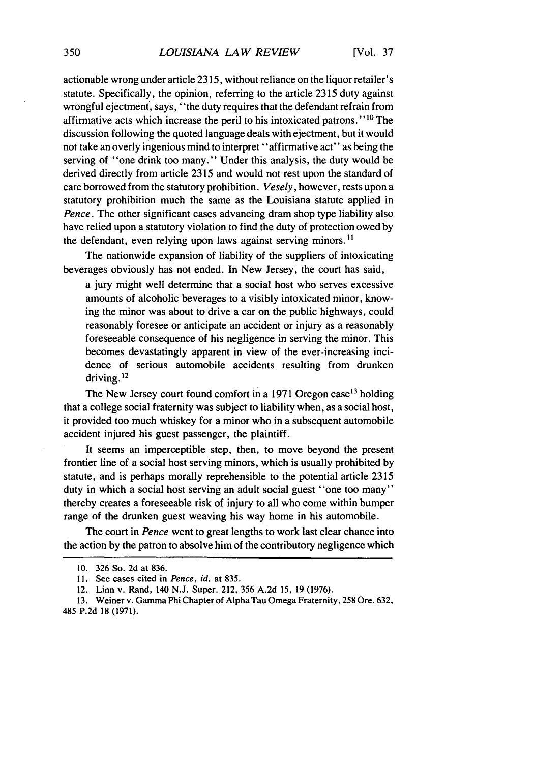[Vol. **37**

actionable wrong under article 2315, without reliance on the liquor retailer's statute. Specifically, the opinion, referring to the article 2315 duty against wrongful ejectment, says, "the duty requires that the defendant refrain from affirmative acts which increase the peril to his intoxicated patrons." **' <sup>0</sup>**The discussion following the quoted language deals with ejectment, but it would not take an overly ingenious mind to interpret "affirmative act" as being the serving of "one drink too many." Under this analysis, the duty would be derived directly from article 2315 and would not rest upon the standard of care borrowed from the statutory prohibition. *Vesely,* however, rests upon a statutory prohibition much the same as the Louisiana statute applied in *Pence*. The other significant cases advancing dram shop type liability also have relied upon a statutory violation to find the duty of protection owed by the defendant, even relying upon laws against serving minors.<sup>11</sup>

The nationwide expansion of liability of the suppliers of intoxicating beverages obviously has not ended. In New Jersey, the court has said,

a jury might well determine that a social host who serves excessive amounts of alcoholic beverages to a visibly intoxicated minor, knowing the minor was about to drive a car on the public highways, could reasonably foresee or anticipate an accident or injury as a reasonably foreseeable consequence of his negligence in serving the minor. This becomes devastatingly apparent in view of the ever-increasing incidence of serious automobile accidents resulting from drunken driving. $^{12}$ 

The New Jersey court found comfort in a 1971 Oregon case<sup>13</sup> holding that a college social fraternity was subject to liability when, as a social host, it provided too much whiskey for a minor who in a subsequent automobile accident injured his guest passenger, the plaintiff.

It seems an imperceptible step, then, to move beyond the present frontier line of a social host serving minors, which is usually prohibited by statute, and is perhaps morally reprehensible to the potential article 2315 duty in which a social host serving an adult social guest "one too many" thereby creates a foreseeable risk of injury to all who come within bumper range of the drunken guest weaving his way home in his automobile.

The court in *Pence* went to great lengths to work last clear chance into the action by the patron to absolve him of the contributory negligence which

<sup>10. 326</sup> So. 2d at 836.

<sup>11.</sup> See cases cited in *Pence, id.* at 835.

<sup>12.</sup> Linn v. Rand, 140 N.J. Super. 212, 356 A.2d 15, 19 (1976).

<sup>13.</sup> Weiner v. Gamma Phi Chapter of Alpha Tau Omega Fraternity, 258 Ore. 632, 485 P.2d 18 (1971).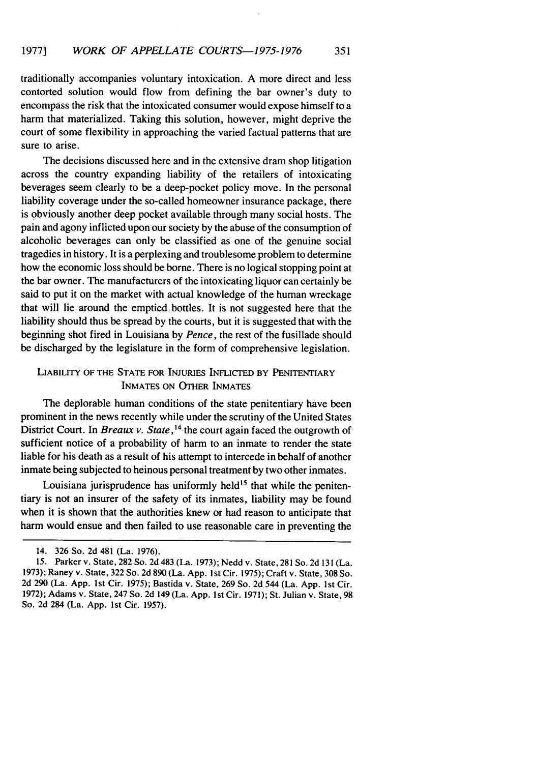traditionally accompanies voluntary intoxication. A more direct and less contorted solution would flow from defining the bar owner's duty to encompass the risk that the intoxicated consumer would expose himself to a harm that materialized. Taking this solution, however, might deprive the court of some flexibility in approaching the varied factual patterns that are sure to arise.

The decisions discussed here and in the extensive dram shop litigation across the country expanding liability of the retailers of intoxicating beverages seem clearly to be a deep-pocket policy move. In the personal liability coverage under the so-called homeowner insurance package, there is obviously another deep pocket available through many social hosts. The pain and agony inflicted upon our society by the abuse of the consumption of alcoholic beverages can only be classified as one of the genuine social tragedies in history. It is a perplexing and troublesome problem to determine how the economic loss should be borne. There is no logical stopping point at the bar owner. The manufacturers of the intoxicating liquor can certainly be said to put it on the market with actual knowledge of the human wreckage that will lie around the emptied bottles. It is not suggested here that the liability should thus be spread by the courts, but it is suggested that with the beginning shot fired in Louisiana by *Pence,* the rest of the fusillade should be discharged by the legislature in the form of comprehensive legislation.

### LIABILITY OF THE STATE FOR INJURIES INFLICTED BY PENITENTIARY INMATES ON OTHER INMATES

The deplorable human conditions of the state penitentiary have been prominent in the news recently while under the scrutiny of the United States District Court. In *Breaux v. State*,<sup>14</sup> the court again faced the outgrowth of sufficient notice of a probability of harm to an inmate to render the state liable for his death as a result of his attempt to intercede in behalf of another inmate being subjected to heinous personal treatment by two other inmates.

Louisiana jurisprudence has uniformly held<sup>15</sup> that while the penitentiary is not an insurer of the safety of its inmates, liability may be found when it is shown that the authorities knew or had reason to anticipate that harm would ensue and then failed to use reasonable care in preventing the

<sup>14. 326</sup> So. 2d 481 (La. 1976).

<sup>15.</sup> Parker v. State, 282 So. 2d 483 (La. 1973); Nedd v. State, 281 So. 2d 131 (La. 1973); Raney v. State, 322 So. 2d 890 (La. App. 1st Cir. 1975); Craft v. State, 308 So. 2d 290 (La. App. 1st Cir. 1975); Bastida v. State, 269 So. 2d 544 (La. App. 1st Cir. 1972); Adams v. State, 247 So. 2d 149 (La. App. 1st Cir. 1971); St. Julian v. State, 98 So. 2d 284 (La. App. 1st Cir. 1957).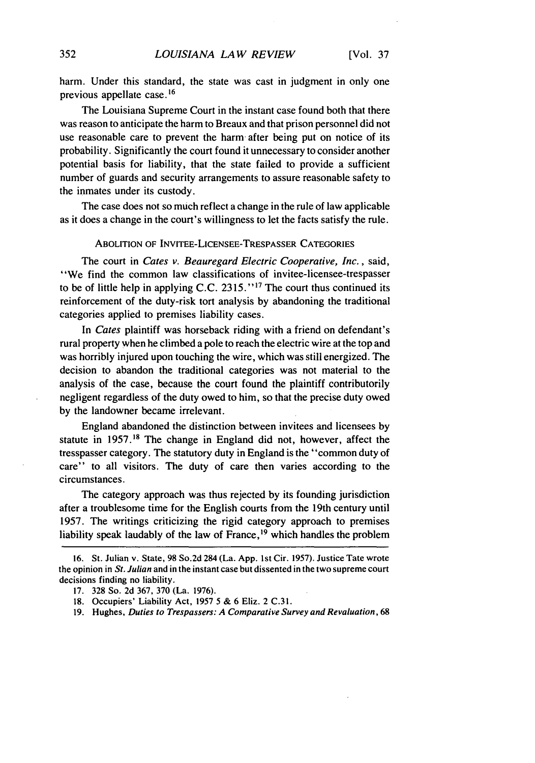harm. Under this standard, the state was cast in judgment in only one previous appellate case.16

The Louisiana Supreme Court in the instant case found both that there was reason to anticipate the harm to Breaux and that prison personnel did not use reasonable care to prevent the harm- after being put on notice of its probability. Significantly the court found it unnecessary to consider another potential basis for liability, that the state failed to provide a sufficient number of guards and security arrangements to assure reasonable safety to the inmates under its custody.

The case does not so much reflect a change in the rule of law applicable as it does a change in the court's willingness to let the facts satisfy the rule.

#### ABOLITION OF INVITEE-LICENSEE-TRESPASSER CATEGORIES

The court in *Cates* v. Beauregard *Electric Cooperative, Inc.,* said, "We find the common law classifications of invitee-licensee-trespasser to be of little help in applying C.C. 2315."<sup>17</sup> The court thus continued its reinforcement of the duty-risk tort analysis by abandoning the traditional categories applied to premises liability cases.

In *Cates* plaintiff was horseback riding with a friend on defendant's rural property when he climbed a pole to reach the electric wire at the top and was horribly injured upon touching the wire, which was still energized. The decision to abandon the traditional categories was not material to the analysis of the case, because the court found the plaintiff contributorily negligent regardless of the duty owed to him, so that the precise duty owed by the landowner became irrelevant.

England abandoned the distinction between invitees and licensees by statute in 1957. **8** The change in England did not, however, affect the tresspasser category. The statutory duty in England is the "common duty of care" to all visitors. The duty of care then varies according to the circumstances.

The category approach was thus rejected by its founding jurisdiction after a troublesome time for the English courts from the 19th century until 1957. The writings criticizing the rigid category approach to premises liability speak laudably of the law of France, $19$  which handles the problem

<sup>16.</sup> St. Julian v. State, 98 So.2d 284 (La. App. 1st Cir. 1957). Justice Tate wrote the opinion in *St. Julian* and in the instant case but dissented in the two supreme court decisions finding no liability.

<sup>17. 328</sup> So. 2d 367, 370 (La. 1976).

<sup>18.</sup> Occupiers' Liability Act, 1957 5 & 6 Eliz. 2 C.31.

<sup>19.</sup> Hughes, *Duties to Trespassers: A Comparative Survey* and *Revaluation,* 68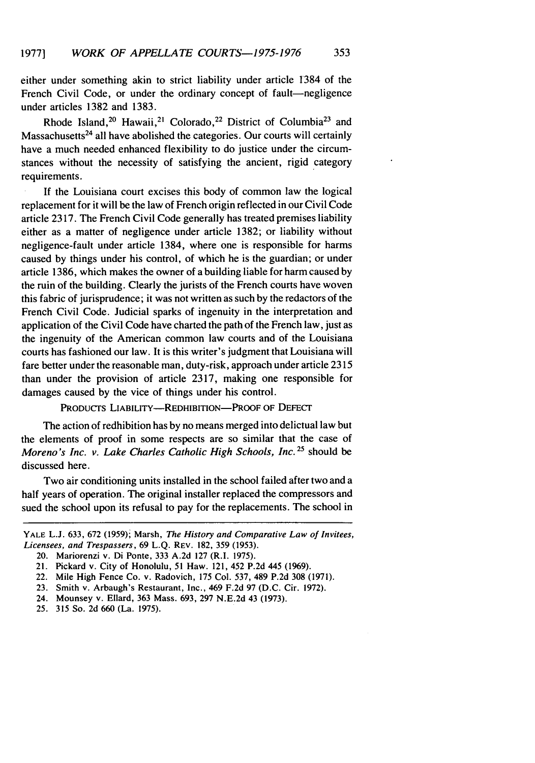either under something akin to strict liability under article 1384 of the French Civil Code, or under the ordinary concept of fault-negligence under articles 1382 and 1383.

Rhode Island,<sup>20</sup> Hawaii,<sup>21</sup> Colorado,<sup>22</sup> District of Columbia<sup>23</sup> and Massachusetts $24$  all have abolished the categories. Our courts will certainly have a much needed enhanced flexibility to do justice under the circumstances without the necessity of satisfying the ancient, rigid category requirements.

If the Louisiana court excises this body of common law the logical replacement for it will be the law of French origin reflected in our Civil Code article 2317. The French Civil Code generally has treated premises liability either as a matter of negligence under article 1382; or liability without negligence-fault under article 1384, where one is responsible for harms caused by things under his control, of which he is the guardian; or under article 1386, which makes the owner of a building liable for harm caused by the ruin of the building. Clearly the jurists of the French courts have woven this fabric of jurisprudence; it was not written as such by the redactors of the French Civil Code. Judicial sparks of ingenuity in the interpretation and application of the Civil Code have charted the path of the French law, just as the ingenuity of the American common law courts and of the Louisiana courts has fashioned our law. It is this writer's judgment that Louisiana will fare better under the reasonable man, duty-risk, approach under article 2315 than under the provision of article 2317, making one responsible for damages caused by the vice of things under his control.

PRODUCTS LIABILITY-REDHIBITION-PROOF OF DEFECT

The action of redhibition has by no means merged into delictual law but the elements of proof in some respects are so similar that the case of Moreno's Inc. v. Lake Charles Catholic High Schools, Inc. **25** should be discussed here.

Two air conditioning units installed in the school failed after two and a half years of operation. The original installer replaced the compressors and sued the school upon its refusal to pay for the replacements. The school in

YALE L.J. 633, 672 (1959); Marsh, *The History and Comparative Law of Invitees, Licensees, and Trespassers,* 69 L.Q. REV. 182, 359 (1953).

<sup>20.</sup> Mariorenzi v. Di Ponte, 333 A.2d 127 (R.I. 1975).

<sup>21.</sup> Pickard v. City of Honolulu, 51 Haw. 121, 452 P.2d 445 (1969).

<sup>22.</sup> Mile High Fence Co. v. Radovich, 175 Col. 537, 489 P.2d 308 (1971).

<sup>23.</sup> Smith v. Arbaugh's Restaurant, Inc., 469 F.2d 97 (D.C. Cir. 1972).

<sup>24.</sup> Mounsey v. Ellard, 363 Mass. 693, 297 N.E.2d 43 (1973).

<sup>25. 315</sup> So. 2d 660 (La. 1975).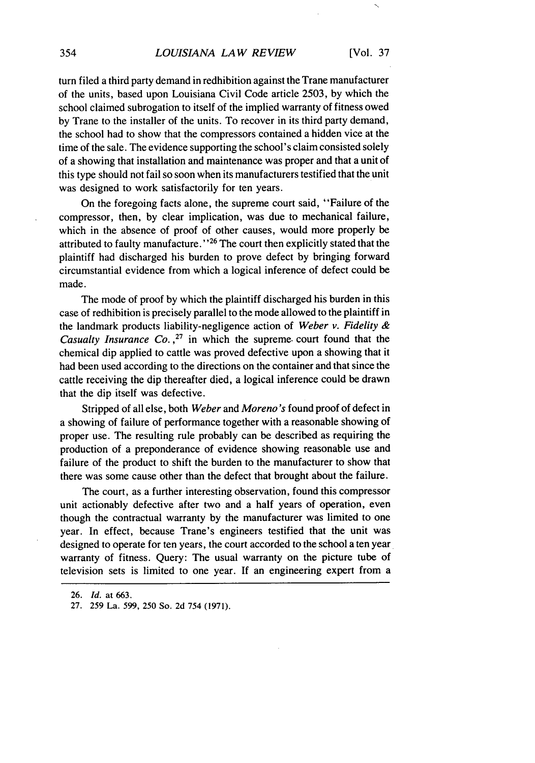turn filed a third party demand in redhibition against the Trane manufacturer of the units, based upon Louisiana Civil Code article 2503, by which the school claimed subrogation to itself of the implied warranty of fitness owed by Trane to the installer of the units. To recover in its third party demand, the school had to show that the compressors contained a hidden vice at the time of the sale. The evidence supporting the school's claim consisted solely of a showing that installation and maintenance was proper and that a unit of this type should not fail so soon when its manufacturers testified that the unit was designed to work satisfactorily for ten years.

On the foregoing facts alone, the supreme court said, "Failure of the compressor, then, by clear implication, was due to mechanical failure, which in the absence of proof of other causes, would more properly be attributed to faulty manufacture."<sup>26</sup> The court then explicitly stated that the plaintiff had discharged his burden to prove defect by bringing forward circumstantial evidence from which a logical inference of defect could be made.

The mode of proof by which the plaintiff discharged his burden in this case of redhibition is precisely parallel to the mode allowed to the plaintiff in the landmark products liability-negligence action of *Weber v. Fidelity & Casualty Insurance Co.*,<sup>27</sup> in which the supreme court found that the chemical dip applied to cattle was proved defective upon a showing that it had been used according to the directions on the container and that since the cattle receiving the dip thereafter died, a logical inference could be drawn that the dip itself was defective.

Stripped of all else, both *Weber* and *Moreno's* found proof of defect in a showing of failure of performance together with a reasonable showing of proper use. The resulting rule probably can be described as requiring the production of a preponderance of evidence showing reasonable use and failure of the product to shift the burden to the manufacturer to show that there was some cause other than the defect that brought about the failure.

The court, as a further interesting observation, found this compressor unit actionably defective after two and a half years of operation, even though the contractual warranty by the manufacturer was limited to one year. In effect, because Trane's engineers testified that the unit was designed to operate for ten years, the court accorded to the school a ten year warranty of fitness. Query: The usual warranty on the picture tube of television sets is limited to one year. If an engineering expert from a

27. 259 La. 599, 250 So. 2d 754 (1971).

<sup>26.</sup> *Id.* at 663.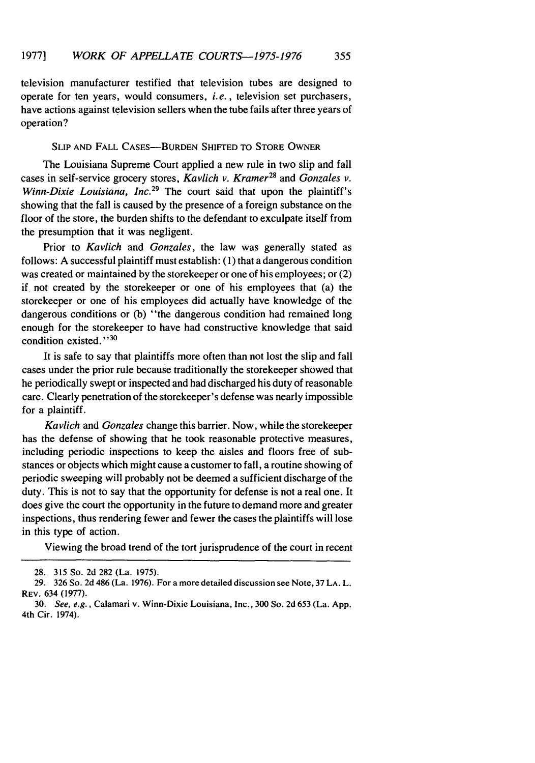television manufacturer testified that television tubes are designed to operate for ten years, would consumers, *i.e.,* television set purchasers, have actions against television sellers when the tube fails after three years of operation?

#### **SLIP AND FALL CASES-BURDEN SHIFTED TO STORE OWNER**

The Louisiana Supreme Court applied a new rule in two slip and fall cases in self-service grocery stores, *Kavlich v. Kramer28* and *Gonzales v. Winn-Dixie Louisiana, Inc.*<sup>29</sup> The court said that upon the plaintiff's showing that the fall is caused by the presence of a foreign substance on the floor of the store, the burden shifts to the defendant to exculpate itself from the presumption that it was negligent.

Prior to *Kavlich* and *Gonzales,* the law was generally stated as follows: A successful plaintiff must establish: (1) that a dangerous condition was created or maintained by the storekeeper or one of his employees; or (2) if not created by the storekeeper or one of his employees that (a) the storekeeper or one of his employees did actually have knowledge of the dangerous conditions or (b) "the dangerous condition had remained long enough for the storekeeper to have had constructive knowledge that said condition existed.' **'30**

It is safe to say that plaintiffs more often than not lost the slip and fall cases under the prior rule because traditionally the storekeeper showed that he periodically swept or inspected and had discharged his duty of reasonable care. Clearly penetration of the storekeeper's defense was nearly impossible for a plaintiff.

*Kavlich and Gonzales* change this barrier. Now, while the storekeeper has the defense of showing that he took reasonable protective measures, including periodic inspections to keep the aisles and floors free of substances or objects which might cause a customer to fall, a routine showing of periodic sweeping will probably not be deemed a sufficient discharge of the duty. This is not to say that the opportunity for defense is not a real one. It does give the court the opportunity in the future to demand more and greater inspections, thus rendering fewer and fewer the cases the plaintiffs will lose in this type of action.

Viewing the broad trend of the tort jurisprudence of the court in recent

<sup>28. 315</sup> So. 2d 282 (La. 1975).

<sup>29. 326</sup> So. 2d 486 (La. 1976). For a more detailed discussion see Note, 37 LA. L. REV. 634 (1977).

<sup>30.</sup> *See, e.g.,* Calamari v. Winn-Dixie Louisiana, Inc., 300 So. 2d 653 (La. App. 4th Cir. 1974).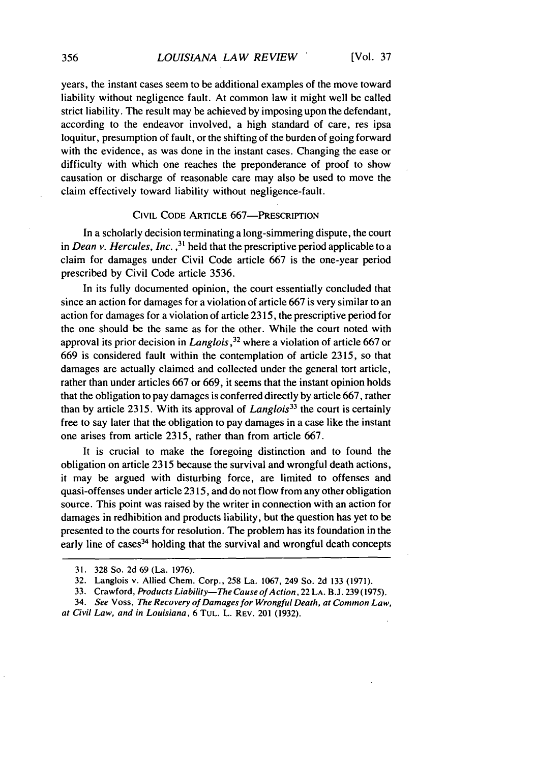years, the instant cases seem to be additional examples of the move toward liability without negligence fault. At common law it might well be called strict liability. The result may be achieved by imposing upon the defendant, according to the endeavor involved, a high standard of care, res ipsa loquitur, presumption of fault, or the shifting of the burden of going forward with the evidence, as was done in the instant cases. Changing the ease or difficulty with which one reaches the preponderance of proof to show causation or discharge of reasonable care may also be used to move the claim effectively toward liability without negligence-fault.

#### CIVIL CODE ARTICLE 667-PRESCRIPTION

In a scholarly decision terminating a long-simmering dispute, the court in *Dean v. Hercules, Inc.*,<sup>31</sup> held that the prescriptive period applicable to a claim for damages under Civil Code article 667 is the one-year period prescribed by Civil Code article 3536.

In its fully documented opinion, the court essentially concluded that since an action for damages for a violation of article 667 is very similar to an action for damages for a violation of article 2315, the prescriptive period for the one should be the same as for the other. While the court noted with approval its prior decision in Langlois,  $32$  where a violation of article 667 or 669 is considered fault within the contemplation of article 2315, so that damages are actually claimed and collected under the general tort article, rather than under articles 667 or 669, it seems that the instant opinion holds that the obligation to pay damages is conferred directly by article 667, rather than by article 2315. With its approval of *Langlois33* the court is certainly free to say later that the obligation to pay damages in a case like the instant one arises from article 2315, rather than from article 667.

It is crucial to make the foregoing distinction and to found the obligation on article 2315 because the survival and wrongful death actions, it may be argued with disturbing force, are limited to offenses and quasi-offenses under article 2315, and do not flow from any other obligation source. This point was raised by the writer in connection with an action for damages in redhibition and products liability, but the question has yet to be presented to the courts for resolution. The problem has its foundation in the early line of cases $34$  holding that the survival and wrongful death concepts

<sup>31. 328</sup> So. 2d 69 (La. 1976).

<sup>32.</sup> Langlois v. Allied Chem. Corp., 258 La. 1067, 249 So. 2d 133 (1971).

<sup>33.</sup> Crawford, Products Liability-The Cause of Action, 22 LA. **B.J.** 239 (1975).

<sup>34.</sup> See Voss, The Recovery of Damages for Wrongful Death, at Common Law, at Civil Law, and in Louisiana, 6 TUL. L. REv. 201 (1932).